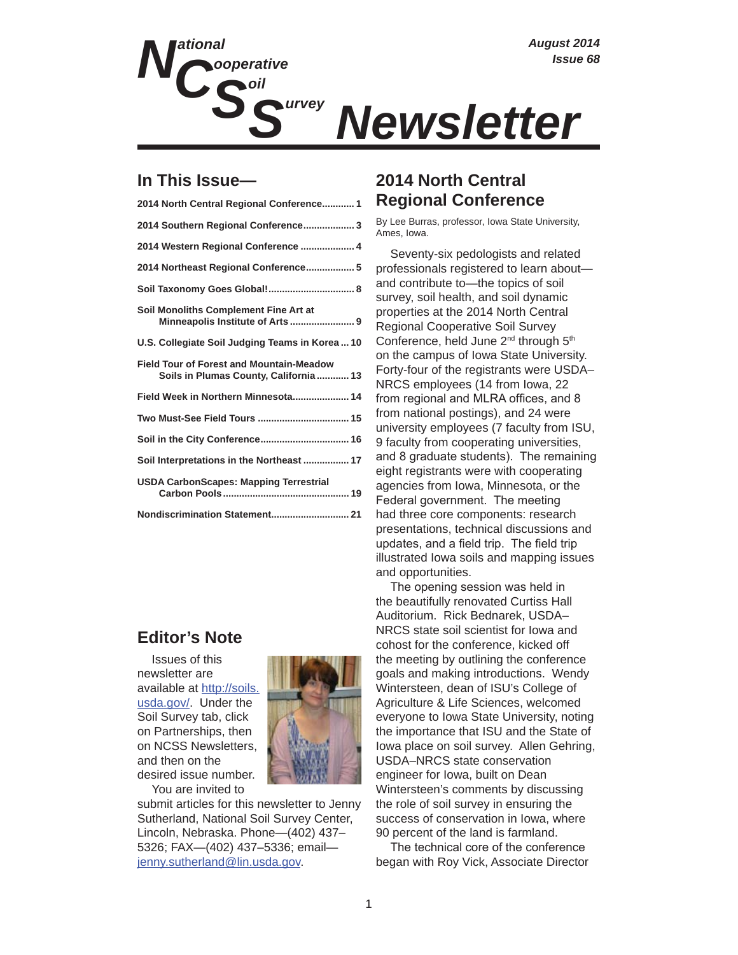

## **In This Issue—**

| 2014 North Central Regional Conference 1                                                  |
|-------------------------------------------------------------------------------------------|
| 2014 Southern Regional Conference3                                                        |
| 2014 Western Regional Conference  4                                                       |
| 2014 Northeast Regional Conference 5                                                      |
|                                                                                           |
| Soil Monoliths Complement Fine Art at                                                     |
| U.S. Collegiate Soil Judging Teams in Korea  10                                           |
| <b>Field Tour of Forest and Mountain-Meadow</b><br>Soils in Plumas County, California  13 |
| Field Week in Northern Minnesota 14                                                       |
| Two Must-See Field Tours  15                                                              |
|                                                                                           |
| Soil Interpretations in the Northeast  17                                                 |
| <b>USDA CarbonScapes: Mapping Terrestrial</b>                                             |
| Nondiscrimination Statement 21                                                            |
|                                                                                           |

## **Editor's Note**

Issues of this newsletter are available at http://soils. usda.gov/. Under the Soil Survey tab, click on Partnerships, then on NCSS Newsletters, and then on the desired issue number.

You are invited to



submit articles for this newsletter to Jenny Sutherland, National Soil Survey Center, Lincoln, Nebraska. Phone—(402) 437– 5326; FAX—(402) 437–5336; email jenny.sutherland@lin.usda.gov.

## **2014 North Central Regional Conference**

By Lee Burras, professor, Iowa State University, Ames, Iowa.

Seventy-six pedologists and related professionals registered to learn about and contribute to—the topics of soil survey, soil health, and soil dynamic properties at the 2014 North Central Regional Cooperative Soil Survey Conference, held June 2<sup>nd</sup> through 5<sup>th</sup> on the campus of Iowa State University. Forty-four of the registrants were USDA– NRCS employees (14 from Iowa, 22 from regional and MLRA offices, and 8 from national postings), and 24 were university employees (7 faculty from ISU, 9 faculty from cooperating universities, and 8 graduate students). The remaining eight registrants were with cooperating agencies from Iowa, Minnesota, or the Federal government. The meeting had three core components: research presentations, technical discussions and updates, and a field trip. The field trip illustrated Iowa soils and mapping issues and opportunities.

The opening session was held in the beautifully renovated Curtiss Hall Auditorium. Rick Bednarek, USDA– NRCS state soil scientist for Iowa and cohost for the conference, kicked off the meeting by outlining the conference goals and making introductions. Wendy Wintersteen, dean of ISU's College of Agriculture & Life Sciences, welcomed everyone to Iowa State University, noting the importance that ISU and the State of Iowa place on soil survey. Allen Gehring, USDA–NRCS state conservation engineer for Iowa, built on Dean Wintersteen's comments by discussing the role of soil survey in ensuring the success of conservation in Iowa, where 90 percent of the land is farmland.

The technical core of the conference began with Roy Vick, Associate Director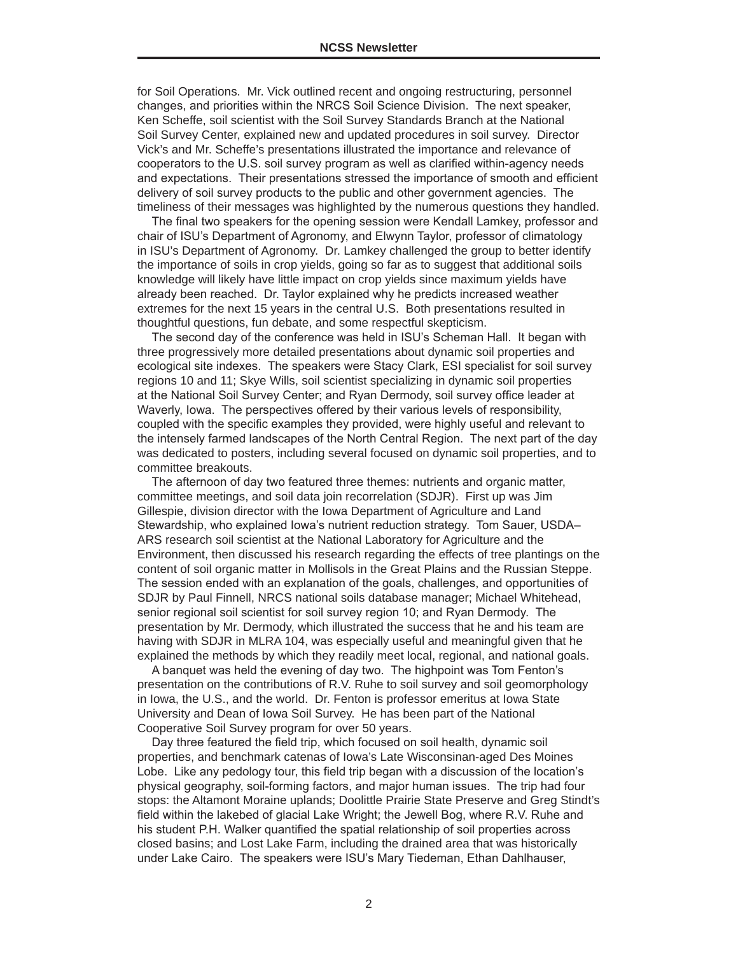for Soil Operations. Mr. Vick outlined recent and ongoing restructuring, personnel changes, and priorities within the NRCS Soil Science Division. The next speaker, Ken Scheffe, soil scientist with the Soil Survey Standards Branch at the National Soil Survey Center, explained new and updated procedures in soil survey. Director Vick's and Mr. Scheffe's presentations illustrated the importance and relevance of cooperators to the U.S. soil survey program as well as clarified within-agency needs and expectations. Their presentations stressed the importance of smooth and efficient delivery of soil survey products to the public and other government agencies. The timeliness of their messages was highlighted by the numerous questions they handled.

The final two speakers for the opening session were Kendall Lamkey, professor and chair of ISU's Department of Agronomy, and Elwynn Taylor, professor of climatology in ISU's Department of Agronomy. Dr. Lamkey challenged the group to better identify the importance of soils in crop yields, going so far as to suggest that additional soils knowledge will likely have little impact on crop yields since maximum yields have already been reached. Dr. Taylor explained why he predicts increased weather extremes for the next 15 years in the central U.S. Both presentations resulted in thoughtful questions, fun debate, and some respectful skepticism.

The second day of the conference was held in ISU's Scheman Hall. It began with three progressively more detailed presentations about dynamic soil properties and ecological site indexes. The speakers were Stacy Clark, ESI specialist for soil survey regions 10 and 11; Skye Wills, soil scientist specializing in dynamic soil properties at the National Soil Survey Center; and Ryan Dermody, soil survey office leader at Waverly, lowa. The perspectives offered by their various levels of responsibility, coupled with the specific examples they provided, were highly useful and relevant to the intensely farmed landscapes of the North Central Region. The next part of the day was dedicated to posters, including several focused on dynamic soil properties, and to committee breakouts.

The afternoon of day two featured three themes: nutrients and organic matter, committee meetings, and soil data join recorrelation (SDJR). First up was Jim Gillespie, division director with the Iowa Department of Agriculture and Land Stewardship, who explained lowa's nutrient reduction strategy. Tom Sauer, USDA-ARS research soil scientist at the National Laboratory for Agriculture and the Environment, then discussed his research regarding the effects of tree plantings on the content of soil organic matter in Mollisols in the Great Plains and the Russian Steppe. The session ended with an explanation of the goals, challenges, and opportunities of SDJR by Paul Finnell, NRCS national soils database manager; Michael Whitehead, senior regional soil scientist for soil survey region 10; and Ryan Dermody. The presentation by Mr. Dermody, which illustrated the success that he and his team are having with SDJR in MLRA 104, was especially useful and meaningful given that he explained the methods by which they readily meet local, regional, and national goals.

A banquet was held the evening of day two. The highpoint was Tom Fenton's presentation on the contributions of R.V. Ruhe to soil survey and soil geomorphology in Iowa, the U.S., and the world. Dr. Fenton is professor emeritus at Iowa State University and Dean of Iowa Soil Survey. He has been part of the National Cooperative Soil Survey program for over 50 years.

Day three featured the field trip, which focused on soil health, dynamic soil properties, and benchmark catenas of Iowa's Late Wisconsinan-aged Des Moines Lobe. Like any pedology tour, this field trip began with a discussion of the location's physical geography, soil-forming factors, and major human issues. The trip had four stops: the Altamont Moraine uplands; Doolittle Prairie State Preserve and Greg Stindt's field within the lakebed of glacial Lake Wright; the Jewell Bog, where R.V. Ruhe and his student P.H. Walker quantified the spatial relationship of soil properties across closed basins; and Lost Lake Farm, including the drained area that was historically under Lake Cairo. The speakers were ISU's Mary Tiedeman, Ethan Dahlhauser,